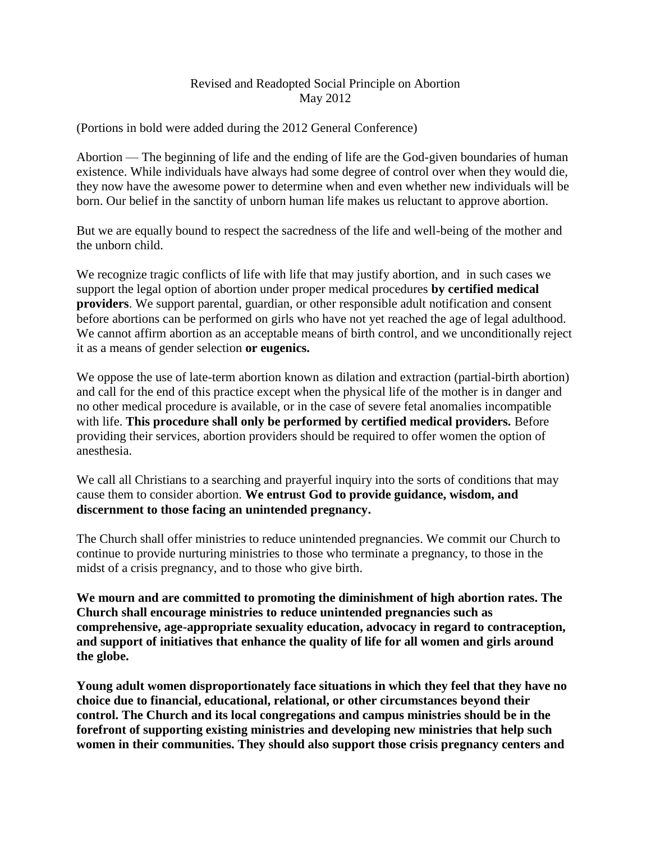## Revised and Readopted Social Principle on Abortion May 2012

(Portions in bold were added during the 2012 General Conference)

Abortion — The beginning of life and the ending of life are the God-given boundaries of human existence. While individuals have always had some degree of control over when they would die, they now have the awesome power to determine when and even whether new individuals will be born. Our belief in the sanctity of unborn human life makes us reluctant to approve abortion.

But we are equally bound to respect the sacredness of the life and well-being of the mother and the unborn child.

We recognize tragic conflicts of life with life that may justify abortion, and in such cases we support the legal option of abortion under proper medical procedures **by certified medical providers**. We support parental, guardian, or other responsible adult notification and consent before abortions can be performed on girls who have not yet reached the age of legal adulthood. We cannot affirm abortion as an acceptable means of birth control, and we unconditionally reject it as a means of gender selection **or eugenics.**

We oppose the use of late-term abortion known as dilation and extraction (partial-birth abortion) and call for the end of this practice except when the physical life of the mother is in danger and no other medical procedure is available, or in the case of severe fetal anomalies incompatible with life. **This procedure shall only be performed by certified medical providers.** Before providing their services, abortion providers should be required to offer women the option of anesthesia.

We call all Christians to a searching and prayerful inquiry into the sorts of conditions that may cause them to consider abortion. **We entrust God to provide guidance, wisdom, and discernment to those facing an unintended pregnancy.**

The Church shall offer ministries to reduce unintended pregnancies. We commit our Church to continue to provide nurturing ministries to those who terminate a pregnancy, to those in the midst of a crisis pregnancy, and to those who give birth.

**We mourn and are committed to promoting the diminishment of high abortion rates. The Church shall encourage ministries to reduce unintended pregnancies such as comprehensive, age-appropriate sexuality education, advocacy in regard to contraception, and support of initiatives that enhance the quality of life for all women and girls around the globe.** 

**Young adult women disproportionately face situations in which they feel that they have no choice due to financial, educational, relational, or other circumstances beyond their control. The Church and its local congregations and campus ministries should be in the forefront of supporting existing ministries and developing new ministries that help such women in their communities. They should also support those crisis pregnancy centers and**